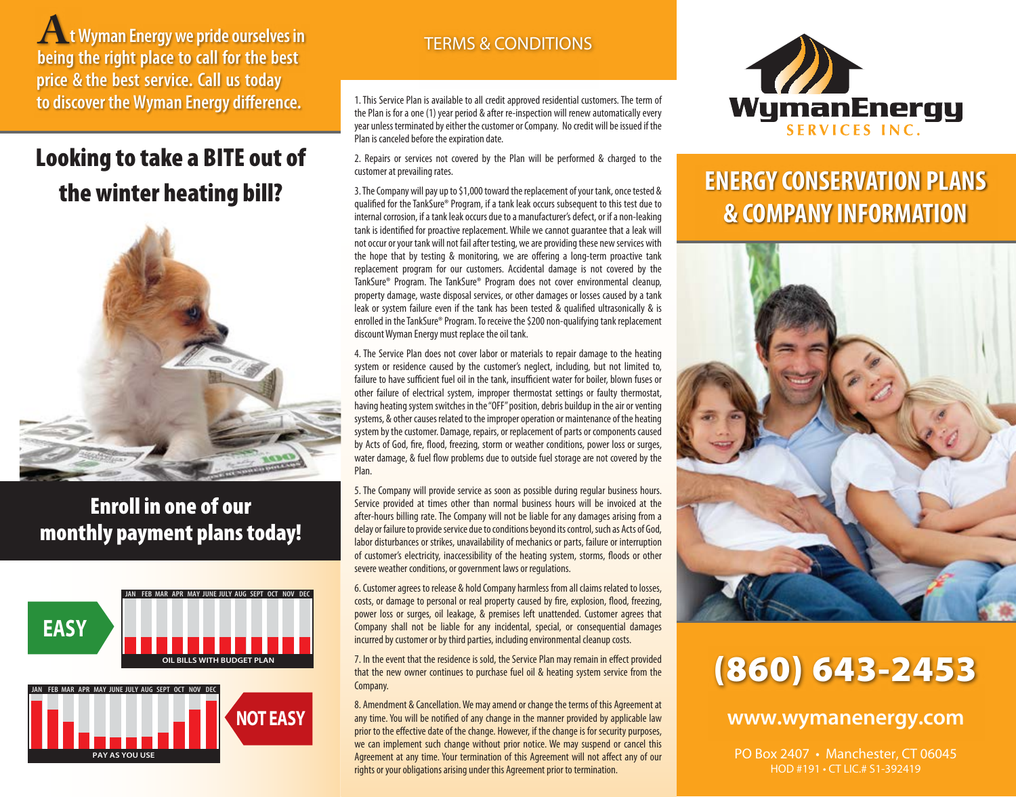**A t** Wyman Energy we pride ourselves in **TERMS & CONDITIONS being the right place to call for the best price & the best service. Call us today to discover the Wyman Energy difference.**

## Looking to take a BITE out of the winter heating bill?



### Enroll in one of our monthly payment plans today!





1. This Service Plan is available to all credit approved residential customers. The term of the Plan is for a one (1) year period & after re-inspection will renew automatically every year unless terminated by either the customer or Company. No credit will be issued if the Plan is canceled before the expiration date.

2. Repairs or services not covered by the Plan will be performed & charged to the customer at prevailing rates.

3. The Company will pay up to \$1,000 toward the replacement of your tank, once tested & qualified for the TankSure® Program, if a tank leak occurs subsequent to this test due to internal corrosion, if a tank leak occurs due to a manufacturer's defect, or if a non-leaking tank is identified for proactive replacement. While we cannot quarantee that a leak will not occur or your tank will not fail after testing, we are providing these new services with the hope that by testing  $&$  monitoring, we are offering a long-term proactive tank replacement program for our customers. Accidental damage is not covered by the TankSure® Program. The TankSure® Program does not cover environmental cleanup, property damage, waste disposal services, or other damages or losses caused by a tank leak or system failure even if the tank has been tested & qualified ultrasonically & is enrolled in the TankSure® Program. To receive the \$200 non-qualifying tank replacement discount Wyman Energy must replace the oil tank.

4. The Service Plan does not cover labor or materials to repair damage to the heating system or residence caused by the customer's neglect, including, but not limited to, failure to have sufficient fuel oil in the tank, insufficient water for boiler, blown fuses or other failure of electrical system, improper thermostat settings or faulty thermostat, having heating system switches in the "OFF" position, debris buildup in the air or venting systems, & other causes related to the improper operation or maintenance of the heating system by the customer. Damage, repairs, or replacement of parts or components caused by Acts of God, fire, flood, freezing, storm or weather conditions, power loss or surges, water damage, & fuel flow problems due to outside fuel storage are not covered by the Plan.

5. The Company will provide service as soon as possible during regular business hours. Service provided at times other than normal business hours will be invoiced at the after-hours billing rate. The Company will not be liable for any damages arising from a delay or failure to provide service due to conditions beyond its control, such as Acts of God, labor disturbances or strikes, unavailability of mechanics or parts, failure or interruption of customer's electricity, inaccessibility of the heating system, storms, floods or other severe weather conditions, or government laws or regulations.

6. Customer agrees to release & hold Company harmless from all claims related to losses, costs, or damage to personal or real property caused by fire, explosion, flood, freezing, power loss or surges, oil leakage, & premises left unattended. Customer agrees that Company shall not be liable for any incidental, special, or consequential damages incurred by customer or by third parties, including environmental cleanup costs.

7. In the event that the residence is sold, the Service Plan may remain in effect provided that the new owner continues to purchase fuel oil & heating system service from the Company.

8. Amendment & Cancellation. We may amend or change the terms of this Agreement at any time. You will be notified of any change in the manner provided by applicable law prior to the effective date of the change. However, if the change is for security purposes, we can implement such change without prior notice. We may suspend or cancel this Agreement at any time. Your termination of this Agreement will not affect any of our rights or your obligations arising under this Agreement prior to termination.



## **ENERGY CONSERVATION PLANS & COMPANY INFORMATION**



# (860) 643-2453

#### **www.wymanenergy.com**

PO Box 2407 • Manchester, CT 06045 HOD #191 • CT LIC.# S1-392419